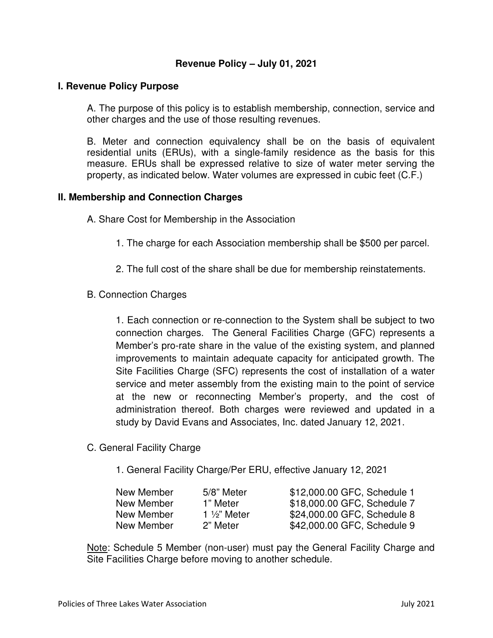# **Revenue Policy – July 01, 2021**

### **I. Revenue Policy Purpose**

A. The purpose of this policy is to establish membership, connection, service and other charges and the use of those resulting revenues.

B. Meter and connection equivalency shall be on the basis of equivalent residential units (ERUs), with a single-family residence as the basis for this measure. ERUs shall be expressed relative to size of water meter serving the property, as indicated below. Water volumes are expressed in cubic feet (C.F.)

#### **II. Membership and Connection Charges**

A. Share Cost for Membership in the Association

- 1. The charge for each Association membership shall be \$500 per parcel.
- 2. The full cost of the share shall be due for membership reinstatements.
- B. Connection Charges

1. Each connection or re-connection to the System shall be subject to two connection charges. The General Facilities Charge (GFC) represents a Member's pro-rate share in the value of the existing system, and planned improvements to maintain adequate capacity for anticipated growth. The Site Facilities Charge (SFC) represents the cost of installation of a water service and meter assembly from the existing main to the point of service at the new or reconnecting Member's property, and the cost of administration thereof. Both charges were reviewed and updated in a study by David Evans and Associates, Inc. dated January 12, 2021.

C. General Facility Charge

1. General Facility Charge/Per ERU, effective January 12, 2021

| New Member | 5/8" Meter              | \$12,000.00 GFC, Schedule 1 |
|------------|-------------------------|-----------------------------|
| New Member | 1" Meter                | \$18,000.00 GFC, Schedule 7 |
| New Member | 1 $\frac{1}{2}$ " Meter | \$24,000.00 GFC, Schedule 8 |
| New Member | 2" Meter                | \$42,000.00 GFC, Schedule 9 |

Note: Schedule 5 Member (non-user) must pay the General Facility Charge and Site Facilities Charge before moving to another schedule.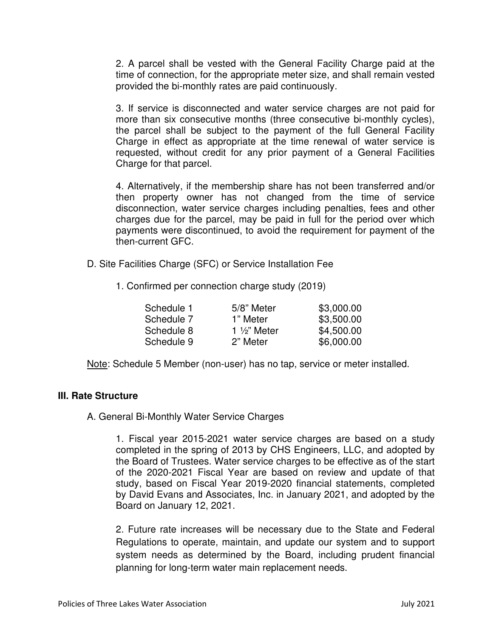2. A parcel shall be vested with the General Facility Charge paid at the time of connection, for the appropriate meter size, and shall remain vested provided the bi-monthly rates are paid continuously.

3. If service is disconnected and water service charges are not paid for more than six consecutive months (three consecutive bi-monthly cycles), the parcel shall be subject to the payment of the full General Facility Charge in effect as appropriate at the time renewal of water service is requested, without credit for any prior payment of a General Facilities Charge for that parcel.

4. Alternatively, if the membership share has not been transferred and/or then property owner has not changed from the time of service disconnection, water service charges including penalties, fees and other charges due for the parcel, may be paid in full for the period over which payments were discontinued, to avoid the requirement for payment of the then-current GFC.

- D. Site Facilities Charge (SFC) or Service Installation Fee
	- 1. Confirmed per connection charge study (2019)

| Schedule 1 | 5/8" Meter              | \$3,000.00 |
|------------|-------------------------|------------|
| Schedule 7 | 1" Meter                | \$3,500.00 |
| Schedule 8 | 1 $\frac{1}{2}$ " Meter | \$4,500.00 |
| Schedule 9 | 2" Meter                | \$6,000.00 |
|            |                         |            |

Note: Schedule 5 Member (non-user) has no tap, service or meter installed.

# **III. Rate Structure**

A. General Bi-Monthly Water Service Charges

1. Fiscal year 2015-2021 water service charges are based on a study completed in the spring of 2013 by CHS Engineers, LLC, and adopted by the Board of Trustees. Water service charges to be effective as of the start of the 2020-2021 Fiscal Year are based on review and update of that study, based on Fiscal Year 2019-2020 financial statements, completed by David Evans and Associates, Inc. in January 2021, and adopted by the Board on January 12, 2021.

2. Future rate increases will be necessary due to the State and Federal Regulations to operate, maintain, and update our system and to support system needs as determined by the Board, including prudent financial planning for long-term water main replacement needs.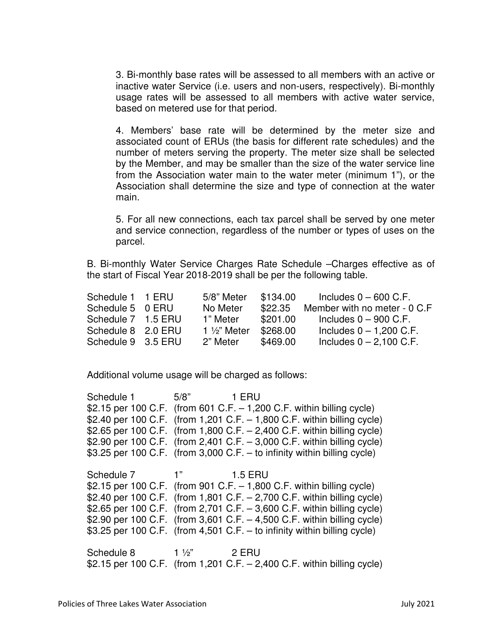3. Bi-monthly base rates will be assessed to all members with an active or inactive water Service (i.e. users and non-users, respectively). Bi-monthly usage rates will be assessed to all members with active water service, based on metered use for that period.

4. Members' base rate will be determined by the meter size and associated count of ERUs (the basis for different rate schedules) and the number of meters serving the property. The meter size shall be selected by the Member, and may be smaller than the size of the water service line from the Association water main to the water meter (minimum 1"), or the Association shall determine the size and type of connection at the water main.

5. For all new connections, each tax parcel shall be served by one meter and service connection, regardless of the number or types of uses on the parcel.

B. Bi-monthly Water Service Charges Rate Schedule –Charges effective as of the start of Fiscal Year 2018-2019 shall be per the following table.

| Schedule 1 1 ERU   | 5/8" Meter              | \$134.00 | Includes $0 - 600$ C.F.      |
|--------------------|-------------------------|----------|------------------------------|
| Schedule 5 0 ERU   | No Meter                | \$22.35  | Member with no meter - 0 C.F |
| Schedule 7 1.5 ERU | 1" Meter                | \$201.00 | Includes $0 - 900$ C.F.      |
| Schedule 8 2.0 ERU | 1 $\frac{1}{2}$ " Meter | \$268.00 | Includes $0 - 1,200$ C.F.    |
| Schedule 9 3.5 ERU | 2" Meter                | \$469.00 | Includes $0 - 2,100$ C.F.    |

Additional volume usage will be charged as follows:

Schedule 1 5/8" 1 ERU \$2.15 per 100 C.F. (from 601 C.F. – 1,200 C.F. within billing cycle) \$2.40 per 100 C.F. (from 1,201 C.F. – 1,800 C.F. within billing cycle) \$2.65 per 100 C.F. (from 1,800 C.F. – 2,400 C.F. within billing cycle) \$2.90 per 100 C.F. (from 2,401 C.F. – 3,000 C.F. within billing cycle) \$3.25 per 100 C.F. (from 3,000 C.F. – to infinity within billing cycle) Schedule 7 1" 1.5 ERU \$2.15 per 100 C.F. (from 901 C.F. – 1,800 C.F. within billing cycle) \$2.40 per 100 C.F. (from 1,801 C.F. – 2,700 C.F. within billing cycle) \$2.65 per 100 C.F. (from 2,701 C.F. – 3,600 C.F. within billing cycle) \$2.90 per 100 C.F. (from 3,601 C.F. – 4,500 C.F. within billing cycle) \$3.25 per 100 C.F. (from 4,501 C.F. – to infinity within billing cycle) Schedule 8 1 1/2" 2 ERU \$2.15 per 100 C.F. (from 1,201 C.F. – 2,400 C.F. within billing cycle)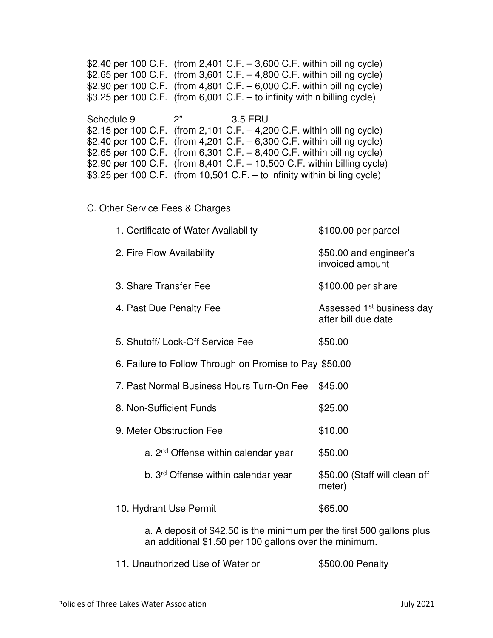\$2.40 per 100 C.F. (from 2,401 C.F. – 3,600 C.F. within billing cycle) \$2.65 per 100 C.F. (from 3,601 C.F. – 4,800 C.F. within billing cycle) \$2.90 per 100 C.F. (from 4,801 C.F. – 6,000 C.F. within billing cycle) \$3.25 per 100 C.F. (from 6,001 C.F. – to infinity within billing cycle) Schedule 9 2" 3.5 ERU \$2.15 per 100 C.F. (from 2,101 C.F. – 4,200 C.F. within billing cycle) \$2.40 per 100 C.F. (from 4,201 C.F. – 6,300 C.F. within billing cycle) \$2.65 per 100 C.F. (from 6,301 C.F. – 8,400 C.F. within billing cycle) \$2.90 per 100 C.F. (from 8,401 C.F. – 10,500 C.F. within billing cycle) \$3.25 per 100 C.F. (from 10,501 C.F. – to infinity within billing cycle)

### C. Other Service Fees & Charges

| 1. Certificate of Water Availability                   | \$100.00 per parcel                                          |
|--------------------------------------------------------|--------------------------------------------------------------|
| 2. Fire Flow Availability                              | \$50.00 and engineer's<br>invoiced amount                    |
| 3. Share Transfer Fee                                  | \$100.00 per share                                           |
| 4. Past Due Penalty Fee                                | Assessed 1 <sup>st</sup> business day<br>after bill due date |
| 5. Shutoff/ Lock-Off Service Fee                       | \$50.00                                                      |
| 6. Failure to Follow Through on Promise to Pay \$50.00 |                                                              |
| 7. Past Normal Business Hours Turn-On Fee              | \$45.00                                                      |
| 8. Non-Sufficient Funds                                | \$25.00                                                      |
| 9. Meter Obstruction Fee                               | \$10.00                                                      |
| a. 2 <sup>nd</sup> Offense within calendar year        | \$50.00                                                      |
| b. 3 <sup>rd</sup> Offense within calendar year        | \$50.00 (Staff will clean off<br>meter)                      |
| 10. Hydrant Use Permit                                 | \$65.00                                                      |
|                                                        |                                                              |

a. A deposit of \$42.50 is the minimum per the first 500 gallons plus an additional \$1.50 per 100 gallons over the minimum.

11. Unauthorized Use of Water or  $$500.00$  Penalty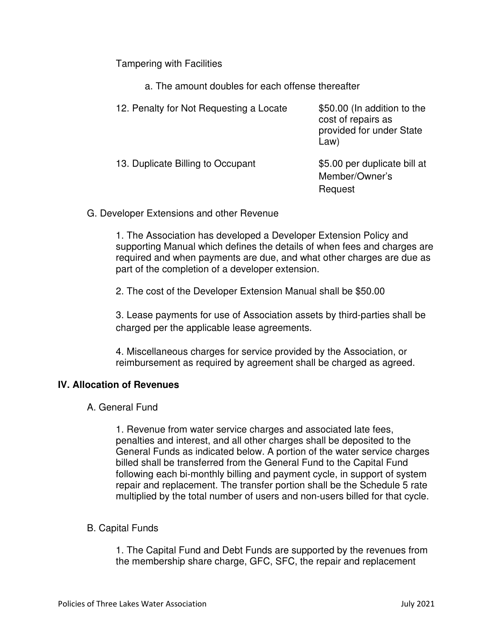Tampering with Facilities

a. The amount doubles for each offense thereafter

| 12. Penalty for Not Requesting a Locate | \$50.00 (In addition to the<br>cost of repairs as<br>provided for under State<br>Law) |
|-----------------------------------------|---------------------------------------------------------------------------------------|
| 13. Duplicate Billing to Occupant       | \$5.00 per duplicate bill at<br>Member/Owner's<br>Request                             |

G. Developer Extensions and other Revenue

1. The Association has developed a Developer Extension Policy and supporting Manual which defines the details of when fees and charges are required and when payments are due, and what other charges are due as part of the completion of a developer extension.

2. The cost of the Developer Extension Manual shall be \$50.00

3. Lease payments for use of Association assets by third-parties shall be charged per the applicable lease agreements.

4. Miscellaneous charges for service provided by the Association, or reimbursement as required by agreement shall be charged as agreed.

# **IV. Allocation of Revenues**

A. General Fund

1. Revenue from water service charges and associated late fees, penalties and interest, and all other charges shall be deposited to the General Funds as indicated below. A portion of the water service charges billed shall be transferred from the General Fund to the Capital Fund following each bi-monthly billing and payment cycle, in support of system repair and replacement. The transfer portion shall be the Schedule 5 rate multiplied by the total number of users and non-users billed for that cycle.

# B. Capital Funds

1. The Capital Fund and Debt Funds are supported by the revenues from the membership share charge, GFC, SFC, the repair and replacement